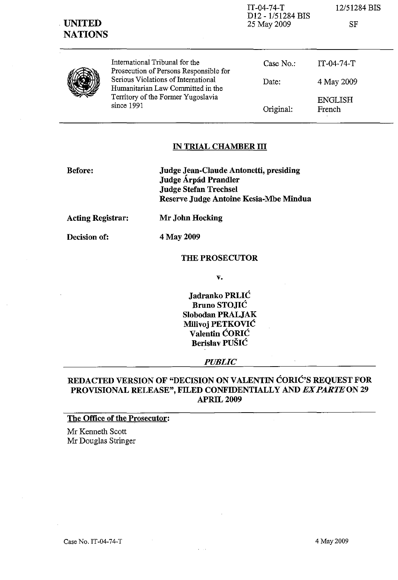| <b>UNITED</b><br><b>NATIONS</b> |                                                                                                                                                                                                          | D <sub>12</sub> - 1/51284 BIS<br>25 May 2009 | SF                       |
|---------------------------------|----------------------------------------------------------------------------------------------------------------------------------------------------------------------------------------------------------|----------------------------------------------|--------------------------|
|                                 | International Tribunal for the<br>Prosecution of Persons Responsible for<br>Serious Violations of International<br>Humanitarian Law Committed in the<br>Territory of the Former Yugoslavia<br>since 1991 | Case $No.$ :                                 | $IT-04-74-T$             |
|                                 |                                                                                                                                                                                                          | Date:                                        | 4 May 2009               |
|                                 |                                                                                                                                                                                                          | Original:                                    | <b>ENGLISH</b><br>French |

IT-04-74-T 12/51284 BIS

### **IN TRIAL CHAMBER III**

**Before: Judge Jean-Claude Antonetti, presiding Judge Arpad Prandler Judge Stefan Trechsel Reserve Judge Antoine Kesia-Mbe Mindua** 

**Acting Registrar: Mr John Hocking** 

**Decision of:** 

4 May 2009

### **THE PROSECUTOR**

**v.** 

**Jadranko PRLIC Bruno STOJIC Slobodan PRALJAK Milivoj PETKOVIC Valentin CORIC Berislav PUSIC** 

### *PUBLIC*

# **REDACTED VERSION OF "DECISION ON VALENTIN CORIC'S REQUEST FOR PROVISIONAL RELEASE", FILED CONFIDENTIALLY AND EX** *PARTE* ON **29 APR1L2009**

### **The Office of the Prosecutor:**

Mr Kenneth Scott Mr Douglas Stringer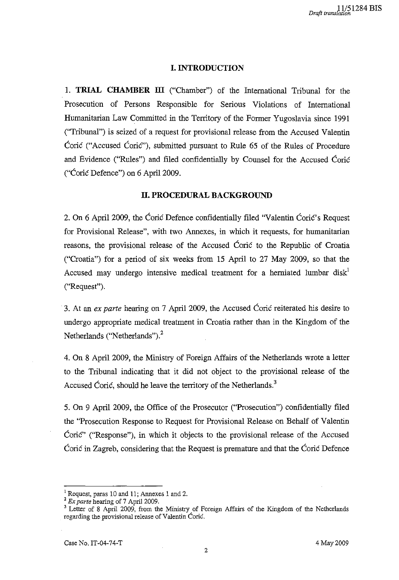# **I. INTRODUCTION**

1. **TRIAL CHAMBER ill** ("Chamber") of the International Tribunal for the Prosecution of Persons Responsible for Serious Violations of International Humanitarian Law Committed in the Territory of the Former Yugoslavia since 1991 ("Tribunal") is seized of a request for provisional release from the Accused Valentin Corie ("Accused Corie"), submitted pursuant to Rule 65 of the Rules of Procedure and Evidence ("Rules") and filed confidentially by Counsel for the Accused Corie ("Corie Defence") on 6 April 2009.

# **II. PROCEDURAL BACKGROUND**

2. On 6 April 2009, the Corie Defence confidentially filed "Valentin Corie's Request for Provisional Release", with two Annexes, in which it requests, for humanitarian reasons, the provisional release of the Accused Corie to the Republic of Croatia ("Croatia") for a period of six weeks from 15 April to 27 May 2009, so that the Accused may undergo intensive medical treatment for a herniated lumbar disk<sup>1</sup> ("Request") .

. 3. At an *ex parte* hearing on 7 April 2009, the Accused Corie reiterated his desire to undergo appropriate medical treatment in Croatia rather than in the Kingdom of the Netherlands ("Netherlands"). $<sup>2</sup>$ </sup>

4. On 8 April 2009, the Ministry of Foreign Affairs of the Netherlands wrote a letter to the Tribunal indicating that it did not object to the provisional release of the Accused Coric, should he leave the territory of the Netherlands.<sup>3</sup>

5. On 9 April 2009, the Office of the Prosecutor ("Prosecution") confidentially filed the "Prosecution Response to Request for Provisional Release on Behalf of Valentin Corie" ("Response"), in which it objects to the provisional release of the Accused Coric in Zagreb, considering that the Request is premature and that the Coric Defence

<sup>1</sup> Request, paras 10 and 11; Annexes 1 and 2.

<sup>2</sup>*Ex parte* hearing of 7 April 2009.

<sup>&</sup>lt;sup>3</sup> Letter of 8 April 2009, from the Ministry of Foreign Affairs of the Kingdom of the Netherlands regarding the provisional release of Valentin Coric.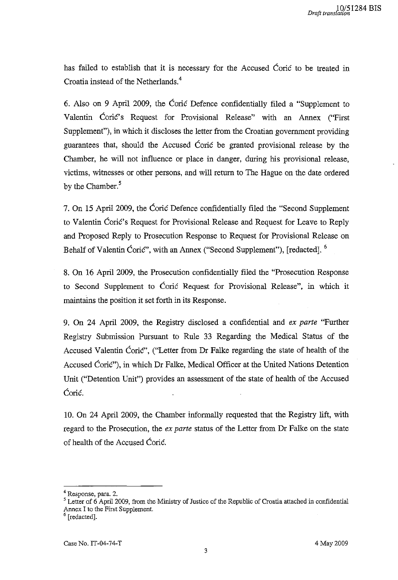has failed to establish that it is necessary for the Accused Corie to be treated in Croatia instead of the Netherlands.<sup>4</sup>

6. Also on 9 April 2009, the Corie Defence confidentially filed a "Supplement to Valentin Coric's Request for Provisional Release" with an Annex ("First Supplement"), in which it discloses the letter from the Croatian government providing guarantees that, should the Accused Corie be granted provisional release by the Chamber, he will not influence or place in danger, during his provisional release, victims, witnesses or other persons, and will return to The Hague on the date ordered by the Chamber.<sup>5</sup>

7. On 15 April 2009, the Corie Defence confidentially filed the "Second Supplement to Valentin Corie's Request for Provisional Release and Request for Leave to Reply and Proposed Reply to Prosecution Response to Request for Provisional Release on Behalf of Valentin Coric", with an Annex ("Second Supplement"), [redacted].  $6$ 

8. On 16 April 2009, the Prosecution confidentially filed the "Prosecution Response to Second Supplement to Corie Request for Provisional Release", in which it maintains the position it set forth in its Response.

9. On 24 April 2009, the Registry disclosed a confidential and *ex parte* "Further Registry Submission Pursuant to Rule 33 Regarding the Medical Status of the Accused Valentin CoriC", ("Letter from Dr Falke regarding the state of health of the Accused Coric"), in which Dr Falke, Medical Officer at the United Nations Detention Unit ("Detention Unit") provides an assessment of the state of health of the Accused Coric.

10. On 24 April 2009, the Chamber informally requested that the Registry lift, with regard to the Prosecution, the *ex parte* status of the Letter from Dr Falke on the state of health of the Accused Corie.

<sup>4</sup>**Response, para. 2.** 

<sup>&</sup>lt;sup>5</sup> Letter of 6 April 2009, from the Ministry of Justice of the Republic of Croatia attached in confidential Annex I to the First Supplement.

<sup>6 [</sup>redacted].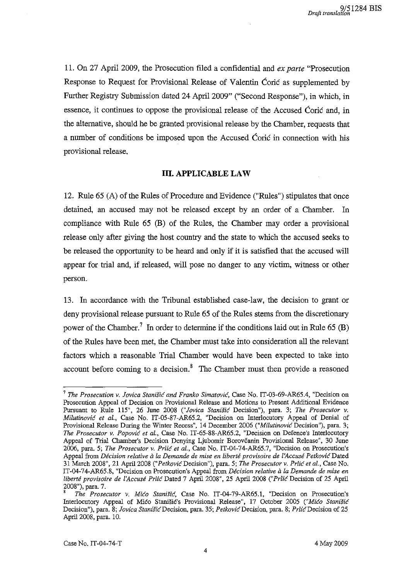11. On 27 April 2009, the Prosecution filed a confidential and *ex parte* "Prosecution Response to Request for Provisional Release of Valentin Corie as supplemented by Further Registry Submission dated 24 April 2009" ("Second Response"), in which, in essence, it continues to oppose the provisional release of the Accused Corie and, in the alternative, should he be granted provisional release by the Chamber, requests that a number of conditions be imposed upon the Accused Corie in connection with his provisional release.

# **III. APPLICABLE LAW**

12. Rule 65 (A) of the Rules of Procedure and Evidence ("Rules") stipulates that once detained, an accused may not be released except by an order of a Chamber. In compliance with Rule 65 (B) of the Rules, the Chamber may order a provisional release only after giving the host country and the state to which the accused seeks to be released the opportunity to be heard and only if it is satisfied that the accused will appear for trial and, if released, will pose no danger to any victim, witness or other person.

13. In accordance with the Tribunal established case-law, the decision to grant or deny provisional release pursuant to Rule 65 of the Rules stems from the discretionary power of the Chamber.<sup>7</sup> In order to determine if the conditions laid out in Rule 65 (B) of the Rules have been met, the Chamber must take into consideration all the relevant factors which a reasonable Trial Chamber would have been expected to take into account before coming to a decision. $\delta$  The Chamber must then provide a reasoned

<sup>7</sup>*The Prosecution* v. *Jovica Stanish: and Franko Simatovic,* Case No. IT-03-69-AR6S.4, "Decision on Prosecution Appeal of Decision on Provisional Release and Motions to Present Additional Evidence Pursuant to Rule liS", 26 June 200S *("Jovica Stanisic* Decision"), para. 3; *The Prosecutor* v. *Milutinovic et al.,* Case No. IT-OS-S7-AR6S.2, "Decision on Interlocutory Appeal of Denial of Provisional Release During the Winter Recess", 14 December 2006 *("Milutinovic* Decision"), para. 3; *The Prosecutor* v. *Popovic et al.,* Case No. IT-6S-SS-AR6S.2, "Decision on Defence's Interlocutory Appeal of Trial Chamber's Decision Denying Ljubomir Borovcanin Provisional Release", 30 June 2006, para. S; *The Prosecutor* v. *Prlic et aI.,* Case No. IT-04-74-AR6S.7, "Decision on Prosecution's **Appeal from** *Decision relative a la Demande de mise en liberte provisoire de l'Accuse Petkovic* **Dated**  31 March 200S", 21 April200S *("PetkovicDecision"),* para. 5; *The Prosecutor* v. *Prlic et aI.,* Case No. IT-04-74-AR6S.S, "Decision on Prosecution's Appeal from *Decision relative a la Demande de mise en liberte provisoire de l'Accuse Prlic* Dated 7 April 200S", 2S April 200S *("Prlic* Decision of 2S April 200S"). para. 7.

<sup>8</sup>*The Prosecutor* v. *Mico Stanisic,* Case No. IT-04-79-AR6S.1. "Decision on Prosecution's Interlocutory Appeal of Mieo Stanisie's Provisional Release", 17 October 200S *("Mico Stanisic*  Decision<sup>u</sup>), para. 8; *Jovica Stanišić* Decision, para. 35; Petković Decision, para. 8; Prlić Decision of 25 April 200S, para. 10.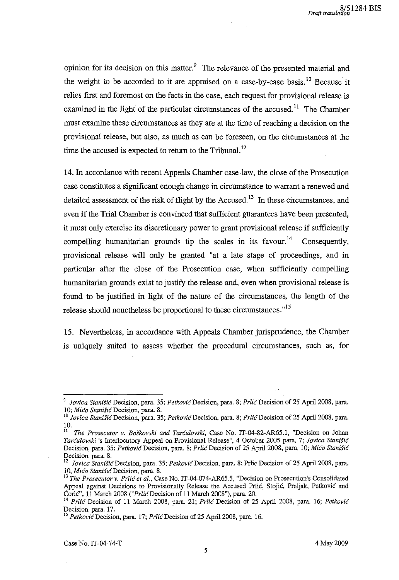opinion for its decision on this matter.<sup>9</sup> The relevance of the presented material and the weight to be accorded to it are appraised on a case-by-case basis.<sup>10</sup> Because it relies first and foremost on the facts in the case, each request for provisional release is examined in the light of the particular circumstances of the accused.<sup>11</sup> The Chamber must examine these circumstances as they are at the time of reaching a decision on the provisional release, but also, as much as can be foreseen, on the circumstances at the time the accused is expected to return to the Tribunal.<sup>12</sup>

14. In accordance with recent Appeals Chamber case-law, the close of the Prosecution case constitutes a significant enough change in circumstance to warrant a renewed and detailed assessment of the risk of flight by the Accused.<sup>13</sup> In these circumstances, and even if the Trial Chamber is convinced that sufficient guarantees have been presented, it must only exercise its discretionary power to grant provisional release if sufficiently compelling humanitarian grounds tip the scales in its favour.<sup>14</sup> Consequently, provisional release will only be granted "at a late stage of proceedings, and in particular after the close of the Prosecution case, when sufficiently compelling humanitarian grounds exist to justify the release and, even when provisional release is found to be justified in light of the nature of the circumstances, the length of the release should nonetheless be proportional to these circumstances."<sup>15</sup>

15. Nevertheless, in accordance with Appeals Chamber jurisprudence, the Chamber is uniquely suited to assess whether the procedural circumstances, such as, for

*Jovica Stanišić Decision, para. 35; Petković Decision, para. 8; Prlić Decision of 25 April 2008, para. 10; Mico StanisicDecision,* para. S.

<sup>10</sup>*Jovica StaniSicDecision,* para. 35; *PetkovicDecision,* para. S; *PrlicDecision* of 25 Apri1200S, para. 10.

II *The Prosecutor* v. *Boskovski and Tarculovski,* Case No. 1T-04-S2-AR65.1, "Decision on Johan *Tarculovski* 's Interlocutory Appeal on Provisional Release", 4 October 2005 para. 7; *Jovica Stanisic*  Decision, para. 35; *Petkovic* Decision, para. S; *Prlic* Decision of 25 April 2008, para. *10; Mico Stanisic*  Decision, para. 8.

<sup>&</sup>lt;sup>12</sup> Jovica Stanišić Decision, para. 35; Petković Decision, para. 8; Prlic Decision of 25 April 2008, para. **I 0, Mica Stanisicf Decision, para. 8.** 

<sup>13</sup>*The Prosecutor* v. *Prlic et al.,* Case No. IT-04-074-AR65.5, "Decision on Prosecution's Consolidated Appeal against Decisions to Provisionally Release the Accused Prlić, Stojić, Praljak, Petković and Corie", 11 March 2008 *("PrlicDecision* of 11 March 200S"), para. 20.

<sup>14</sup>*Prlic* Decision of 11 March 200S, para. 21; *Prlic* Decision of 25 April 2008, para. 16; *Petkovic*  Decision, para. 17.

<sup>&</sup>lt;sup>15</sup> Petkovic Decision, para. 17; Prlic Decision of 25 April 2008, para. 16.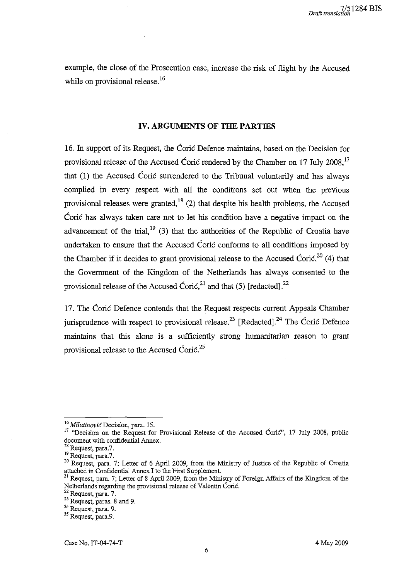example, the close of the Prosecution case, increase the risk of flight by the Accused while on provisional release.<sup>16</sup>

### IV. ARGUMENTS OF THE PARTIES

16. In support of its Request, the Corie Defence maintains, based on the Decision for provisional release of the Accused Coric rendered by the Chamber on 17 July 2008,<sup>17</sup> that (1) the Accused Coric surrendered to the Tribunal voluntarily and has always complied in every respect with all the conditions set out when the previous provisional releases were granted,<sup>18</sup> (2) that despite his health problems, the Accused Corie has always taken care not to let his condition have a negative impact on the advancement of the trial,<sup>19</sup> (3) that the authorities of the Republic of Croatia have undertaken to ensure that the Accused Corie conforms to all conditions imposed by the Chamber if it decides to grant provisional release to the Accused Cori $\zeta^{20}$  (4) that the Government of the Kingdom of the Netherlands has always consented to the provisional release of the Accused Coric,<sup>21</sup> and that (5) [redacted].<sup>22</sup>

17. The Corie Defence contends that the Request respects current Appeals Chamber jurisprudence with respect to provisional release.<sup>23</sup> [Redacted].<sup>24</sup> The Coric Defence maintains that this alone is a sufficiently strong humanitarian reason to grant provisional release to the Accused Cori $\epsilon$ <sup>25</sup>

*<sup>16</sup> MilutinovicDecision,* para. 15.

<sup>&</sup>lt;sup>17</sup> "Decision on the Request for Provisional Release of the Accused Corie", 17 July 2008, public document with confidential Annex.

Request, para.7.

 $19$  Request, para.7.

<sup>&</sup>lt;sup>20</sup> Request, para. 7; Letter of 6 April 2009, from the Ministry of Justice of the Republic of Croatia attached in Confidential Annex I to the First Supplement.

<sup>&</sup>lt;sup>21</sup> Request, para. 7; Letter of 8 April 2009, from the Ministry of Foreign Affairs of the Kingdom of the Netherlands regarding the provisional release of Valentin Corie.

<sup>22</sup> Request, para. 7.

<sup>&</sup>lt;sup>23</sup> Request, paras. 8 and 9.

<sup>24</sup> Request, para. 9.

<sup>25</sup> Request, para.9.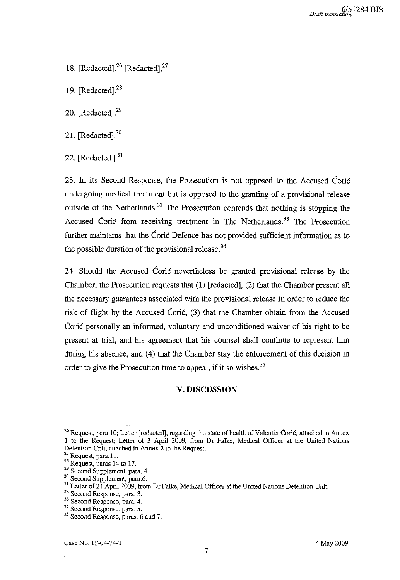- 18. [Redacted].<sup>26</sup> [Redacted].<sup>27</sup>
- 19.  $[Redacted]$ . $^{28}$
- 20. [Redacted].<sup>29</sup>
- 21. [Redacted].<sup>30</sup>
- 22. [Redacted]. $31$

23. **In** its Second Response, the Prosecution is not opposed to the Accused Corie undergoing medical treatment but is opposed to the granting of a provisional release outside of the Netherlands.<sup>32</sup> The Prosecution contends that nothing is stopping the Accused Coric from receiving treatment in The Netherlands.<sup>33</sup> The Prosecution further maintains that the Coric Defence has not provided sufficient information as to the possible duration of the provisional release.<sup>34</sup>

24. Should the Accused Corie nevertheless be granted provisional release by the Chamber, the Prosecution requests that (1) [redacted], (2) that the Chamber present all the necessary guarantees associated with the provisional release in order to reduce the risk of flight by the Accused Coric, (3) that the Chamber obtain from the Accused Corie personally an informed, voluntary and unconditioned waiver of his right to be present at trial, and his agreement that his counsel shall continue to represent him during his absence, and (4) that the Chamber stay the enforcement of this decision in order to give the Prosecution time to appeal, if it so wishes.<sup>35</sup>

#### **V. DISCUSSION**

<sup>&</sup>lt;sup>26</sup> Request, para. 10; Letter [redacted], regarding the state of health of Valentin Ćorić, attached in Annex 1 to the Request; Letter of 3 April 2009, from Dr Falke, Medical Officer at the United Nations Detention Unit, attached in Annex 2 to the Request.

 $27$  Request, para.11.

<sup>&</sup>lt;sup>28</sup> Request, paras 14 to 17.

<sup>29</sup> Second Supplement, para. 4.

<sup>&</sup>lt;sup>30</sup> Second Supplement, para.6.

<sup>&</sup>lt;sup>31</sup> Letter of 24 April 2009, from Dr Falke, Medical Officer at the United Nations Detention Unit.

<sup>32</sup> Second Response, para. 3.

<sup>33</sup> Second Response, para. 4.

<sup>34</sup> Second Response, para. 5.

<sup>&</sup>lt;sup>35</sup> Second Response, paras. 6 and 7.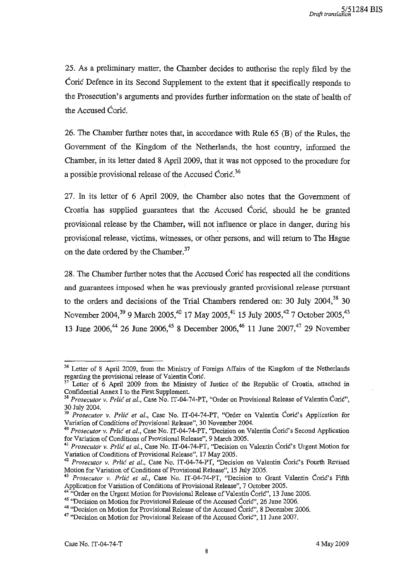25. As a preliminary matter, the Chamber decides to authorise the reply filed by the Corie Defence in its Second Supplement to the extent that it specifically responds to the Prosecution's arguments and provides further information on the state of health of the Accused Coric.

26. The Chamber further notes that, in accordance with Rule 65 (B) of the Rules, the Government of the Kingdom of the Netherlands, the host country, informed the Chamber, in its letter dated 8 April 2009, that it was not opposed to the procedure for a possible provisional release of the Accused Cori $\epsilon^{36}$ 

27. **In** its letter of 6 April 2009, the Chamber also notes that the Government of Croatia has supplied guarantees that the Accused Corie, should he be granted provisional release by the Chamber, will not influence or place in danger, during his provisional release, victims, witnesses, or other persons, and will return to The Hague on the date ordered by the Chamber.<sup>37</sup>

28. The Chamber further notes that the Accused Corie has respected all the conditions and guarantees imposed when he was previously granted provisional release pursuant to the orders and decisions of the Trial Chambers rendered on: 30 July 2004,<sup>38</sup> 30 November 2004,<sup>39</sup> 9 March 2005,<sup>40</sup> 17 May 2005,<sup>41</sup> 15 July 2005,<sup>42</sup> 7 October 2005,<sup>43</sup> 13 June 2006,<sup>44</sup> 26 June 2006,<sup>45</sup> 8 December 2006,<sup>46</sup> 11 June 2007,<sup>47</sup> 29 November

<sup>&</sup>lt;sup>36</sup> Letter of 8 April 2009, from the Ministry of Foreign Affairs of the Kingdom of the Netherlands regarding the provisional release of Valentin Corić.

 $37$  Letter of 6 April 2009 from the Ministry of Justice of the Republic of Croatia, attached in Confidential Annex I to the First Supplement.

<sup>38</sup>*Prosecutor* v. *Prlic et aI.,* Case No. IT-04-74-PT, "Order on Provisional Release *of* Valentin Corie", 30 July 2004.

<sup>&</sup>lt;sup>39</sup> Prosecutor v. Prlic et al., Case No. IT-04-74-PT, "Order on Valentin Ćorić's Application for Variation of Conditions of Provisional Release", 30 November 2004.

*<sup>40</sup> Prosecutor* v. *Prlic et al.,* Case No. IT-04-74-PT, "Decision on Valentin CoriC's Second Application for Variation of Conditions of Provisional Release", 9 March 2005.

<sup>41</sup>*Prosecutor* v. *Prlic et al.,* Case No. IT-04-74-PT, "Decision on Valentin Carie's Urgent Motion for Variation of Conditions of Provisional Release", 17 May 2005.

<sup>42</sup>*Prosecutor* v. *Prlic et al.,* Case No. IT-04-74-PT, "Decision on Valentin Corie's Fourth Revised Motion for Variation of Conditions of Provisional Release", 15 July 2005.

<sup>&</sup>lt;sup>43</sup> Prosecutor v. Prlić et al., Case No. IT-04-74-PT, "Decision to Grant Valentin Ćorić's Fifth Application for Variation of Conditions of Provisional Release", 7 October 2005.

<sup>&</sup>lt;sup>44</sup> "Order on the Urgent Motion for Provisional Release of Valentin Coric", 13 June 2006.

<sup>&</sup>lt;sup>45</sup> "Decision on Motion for Provisional Release of the Accused Coric", 26 June 2006.

<sup>&</sup>lt;sup>46</sup> "Decision on Motion for Provisional Release of the Accused Corie", 8 December 2006.

 $47$  "Decision on Motion for Provisional Release of the Accused Coric", 11 June 2007.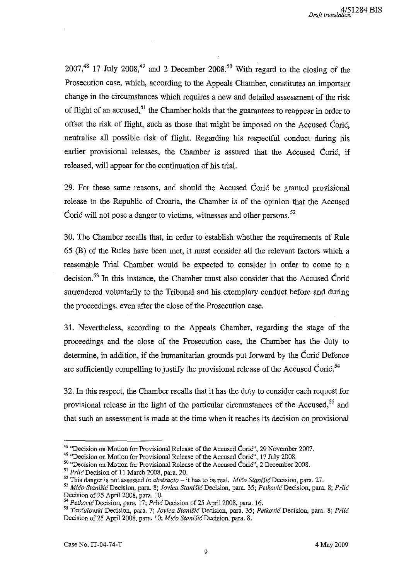$2007<sup>48</sup>$  17 July  $2008<sup>49</sup>$  and 2 December  $2008<sup>50</sup>$  With regard to the closing of the Prosecution case, which, according to the Appeals Chamber, constitutes an important change in the circumstances which requires a new and detailed assessment of the risk of flight of an accused,<sup>51</sup> the Chamber holds that the guarantees to reappear in order to offset the risk of flight, such as those that might be imposed on the Accused Coric, neutralise all possible risk of flight. Regarding his respectful conduct during his earlier provisional releases, the Chamber is assured that the Accused Corie, if released, will appear for the continuation of his trial.

29. For these same reasons, and should the Accused Corie be granted provisional release to the Republic of Croatia, the Chamber is of the opinion that the Accused Corie will not pose a danger to victims, witnesses and other persons.<sup>52</sup>

30. The Chamber recalls that, in order to establish whether the requirements of Rule 65 (B) of the Rilles have been met, it must consider all the relevant factors which a reasonable Trial Chamber would be expected to consider in order to come to a decision.<sup>53</sup> In this instance, the Chamber must also consider that the Accused Corie surrendered voluntarily to the Tribunal and his exemplary conduct before and during the proceedings, even after the close of the Prosecution case.

31. Nevertheless, according to the Appeals Chamber, regarding the stage of the proceedings and the close of the Prosecution case, the Chamber has the duty to determine, in addition, if the humanitarian grounds put forward by the Corie Defence are sufficiently compelling to justify the provisional release of the Accused Coric.<sup>54</sup>

32. In this respect, the Chamber recalls that it has the duty to consider each request for provisional release in the light of the particular circumstances of the Accused,<sup>55</sup> and that such an assessment is made at the time when it reaches its decision on provisional

<sup>&</sup>lt;sup>48</sup> "Decision on Motion for Provisional Release of the Accused Corie", 29 November 2007.

<sup>&</sup>lt;sup>49</sup> "Decision on Motion for Provisional Release of the Accused Coric", 17 July 2008.

<sup>&</sup>lt;sup>50</sup> "Decision on Motion for Provisional Release of the Accused Ćorić", 2 December 2008.

<sup>51</sup>*PrlicDecision* of 11 March 2008, para. 20.

<sup>52</sup> This danger is not assessed *in abstracto* - it has to be real. *Mico Stanisic* Decision, para. 27. *53 Mica Stanisi6Decision,* **para. 8;** *Jovica Stanisic!Decision,* **para. 35;** *PetkovicDecision,* **para. 8;** *PrUc* 

Decision of 25 April 2008, para. 10.

*<sup>54</sup> PetkovicDecision,* para. 17; *PrlicDecision* of 25 April 2008, para. 16.

*<sup>55</sup>***Tarculovsld Decision, para. 7;** *Jovica* **Stani.fic Decision, para. 35; Petkovic Decision, para. 8; Prlic**  Decision of 25 April 2008, para. 10; *Mićo Stanišić* Decision, para. 8.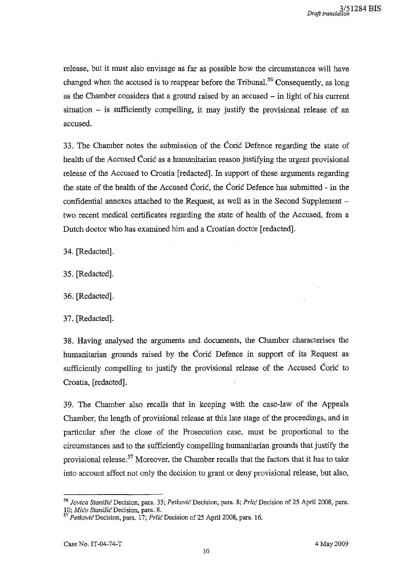release, but it must also envisage as far as possible how the circumstances will have changed when the accused is to reappear before the Tribunal.<sup>56</sup> Consequently, as long as the Chamber considers that a ground raised by an accused  $-$  in light of his current  $situation - is sufficiently compelling, it may justify the provisional release of an$ accused.

33. The Chamber notes the submission of the Corie Defence regarding the state of health of the Accused Coric as a humanitarian reason justifying the urgent provisional release of the Accused to Croatia [redacted]. **In** support of these arguments regarding the state of the health of the Accused Coric, the Coric Defence has submitted - in the confidential annexes attached to the Request, as well as in the Second Supplement  $$ two recent medical certificates regarding the state of health of the Accused, from a Dutch doctor who has examined him and a Croatian doctor [redacted].

34. [Redacted].

35. [Redacted].

36. [Redacted].

37. [Redacted].

38. Having analysed the arguments and documents, the Chamber characterises the humanitarian grounds raised by the Corie Defence in support of its Request as sufficiently compelling to justify the provisional release of the Accused Corie to Croatia, [redacted].

39. The Chamber also recalls that in keeping with the case-law of the Appeals Chamber, the length of provisional release at this late stage of the proceedings, and in particular after the close of the Prosecution case, must be proportional to the circumstances and to the sufficiently compelling humanitarian grounds that justify the provisional release.<sup>57</sup> Moreover, the Chamber recalls that the factors that it has to take into account affect not only the decision to grant or deny provisional release, but also,

*<sup>&</sup>quot; Jovica StanisicDecision,* para. 35; *PetkovicDecision,* para. 8; PrlicDecision of 25 April 2008, para. **10; Mica** *Stanisi6Decision,* **para. 8.** 

*<sup>57</sup> PetkovicDecision,* para. 17; PrlicDecision of 25 April 2008, para. 16.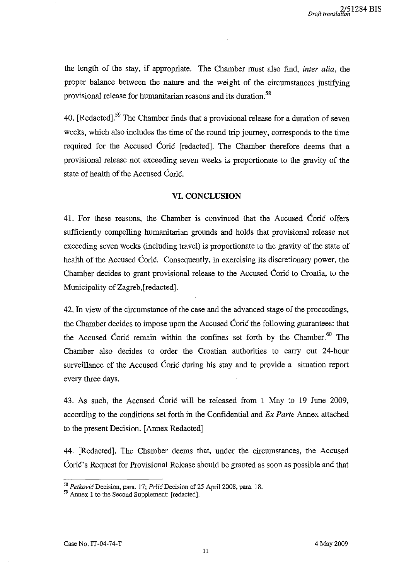the length of the stay, if appropriate. The Chamber must also find, *inter alia,* the proper balance between the nature and the weight of the circumstances justifying provisional release for humanitarian reasons and its duration.<sup>58</sup>

40. [Redacted].<sup>59</sup> The Chamber finds that a provisional release for a duration of seven weeks, which also includes the time of the round trip joumey, corresponds to the time required for the Accused Corie [redacted]. The Chamber therefore deems that a provisional release not exceeding seven weeks is proportionate to the gravity of the state of health of the Accused Coric.

### **VI. CONCLUSION**

41. For these reasons, the Chamber is convinced that the Accused Corie offers sufficiently compelling humanitarian grounds and holds that provisional release not exceeding seven weeks (including travel) is proportionate to the gravity of the state of health of the Accused Coric. Consequently, in exercising its discretionary power, the Chamber decides to grant provisional release to the Accused Corie to Croatia, to the Municipality of Zagreb,[redacted].

42. In view of the circumstance of the case and the advanced stage of the proceedings, the Chamber decides to impose upon the Accused Corie the following guarantees: that the Accused Coric remain within the confines set forth by the Chamber.<sup>60</sup> The Chamber also decides to order the Croatian authorities to carry out 24-hour surveillance of the Accused Corie during his stay and to provide a situation report every three days.

43. As such, the Accused Corie will be released from 1 May to 19 June 2009, according to the conditions set forth in the Confidential and *Ex Parte* Annex attached to the present Decision. [Annex Redacted]

44. [Redacted]. The Chamber deems that, under the circumstances, the Accused Coric's Request for Provisional Release should be granted as soon as possible and that

<sup>&</sup>lt;sup>58</sup> Petković Decision, para. 17; Prlić Decision of 25 April 2008, para. 18.

<sup>&</sup>lt;sup>59</sup> Annex 1 to the Second Supplement: [redacted].